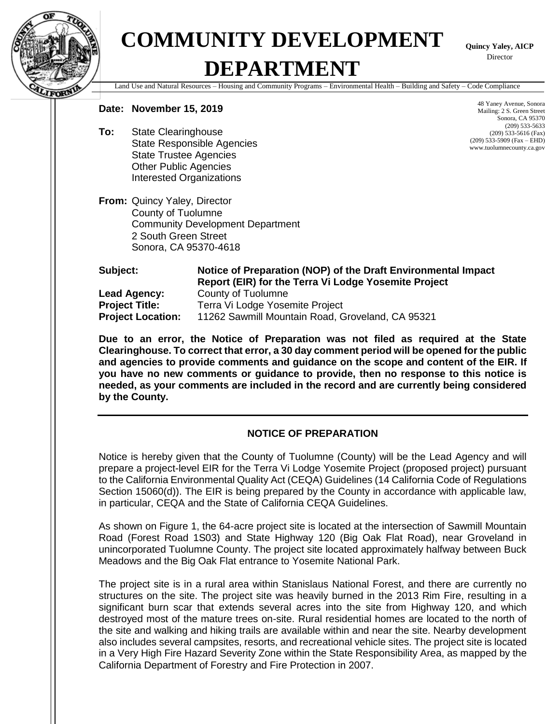

## **COMMUNITY DEVELOPMENT DEPARTMENT**

**Quincy Yaley, AICP** Director

Land Use and Natural Resources – Housing and Community Programs – Environmental Health – Building and Safety – Code Compliance

## **Date: November 15, 2019**

**To:** State Clearinghouse State Responsible Agencies State Trustee Agencies Other Public Agencies Interested Organizations

**From:** Quincy Yaley, Director County of Tuolumne Community Development Department 2 South Green Street Sonora, CA 95370-4618

48 Yaney Avenue, Sonora Mailing: 2 S. Green Street Sonora, CA 95370 (209) 533-5633 (209) 533-5616 (Fax) (209) 533-5909 (Fax – EHD) www.tuolumnecounty.ca.gov

**Subject: Notice of Preparation (NOP) of the Draft Environmental Impact Report (EIR) for the Terra Vi Lodge Yosemite Project Lead Agency:** County of Tuolumne **Project Title:** Terra Vi Lodge Yosemite Project **Project Location:** 11262 Sawmill Mountain Road, Groveland, CA 95321

**Due to an error, the Notice of Preparation was not filed as required at the State Clearinghouse. To correct that error, a 30 day comment period will be opened for the public and agencies to provide comments and guidance on the scope and content of the EIR. If you have no new comments or guidance to provide, then no response to this notice is needed, as your comments are included in the record and are currently being considered by the County.** 

## **NOTICE OF PREPARATION**

Notice is hereby given that the County of Tuolumne (County) will be the Lead Agency and will prepare a project-level EIR for the Terra Vi Lodge Yosemite Project (proposed project) pursuant to the California Environmental Quality Act (CEQA) Guidelines (14 California Code of Regulations Section 15060(d)). The EIR is being prepared by the County in accordance with applicable law, in particular, CEQA and the State of California CEQA Guidelines.

As shown on Figure 1, the 64-acre project site is located at the intersection of Sawmill Mountain Road (Forest Road 1S03) and State Highway 120 (Big Oak Flat Road), near Groveland in unincorporated Tuolumne County. The project site located approximately halfway between Buck Meadows and the Big Oak Flat entrance to Yosemite National Park.

The project site is in a rural area within Stanislaus National Forest, and there are currently no structures on the site. The project site was heavily burned in the 2013 Rim Fire, resulting in a significant burn scar that extends several acres into the site from Highway 120, and which destroyed most of the mature trees on-site. Rural residential homes are located to the north of the site and walking and hiking trails are available within and near the site. Nearby development also includes several campsites, resorts, and recreational vehicle sites. The project site is located in a Very High Fire Hazard Severity Zone within the State Responsibility Area, as mapped by the California Department of Forestry and Fire Protection in 2007.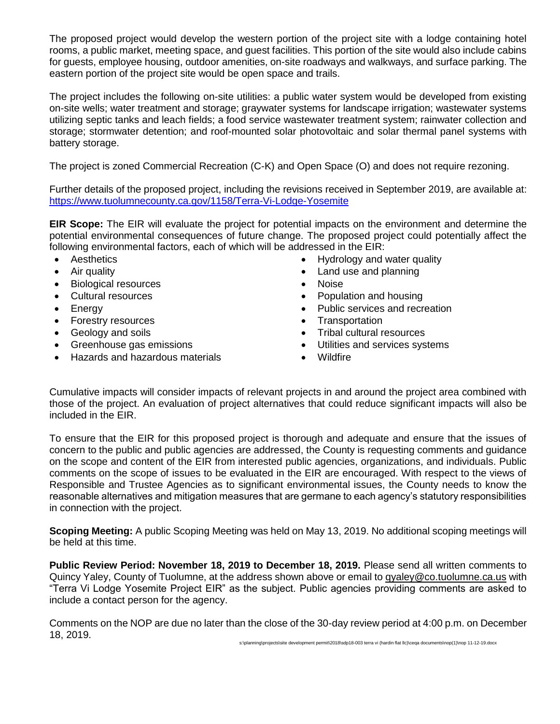The proposed project would develop the western portion of the project site with a lodge containing hotel rooms, a public market, meeting space, and guest facilities. This portion of the site would also include cabins for guests, employee housing, outdoor amenities, on-site roadways and walkways, and surface parking. The eastern portion of the project site would be open space and trails.

The project includes the following on-site utilities: a public water system would be developed from existing on-site wells; water treatment and storage; graywater systems for landscape irrigation; wastewater systems utilizing septic tanks and leach fields; a food service wastewater treatment system; rainwater collection and storage; stormwater detention; and roof-mounted solar photovoltaic and solar thermal panel systems with battery storage.

The project is zoned Commercial Recreation (C-K) and Open Space (O) and does not require rezoning.

Further details of the proposed project, including the revisions received in September 2019, are available at: <https://www.tuolumnecounty.ca.gov/1158/Terra-Vi-Lodge-Yosemite>

**EIR Scope:** The EIR will evaluate the project for potential impacts on the environment and determine the potential environmental consequences of future change. The proposed project could potentially affect the following environmental factors, each of which will be addressed in the EIR:

- 
- Biological resources Noise
- 
- 
- Forestry resources Transportation
- 
- 
- Hazards and hazardous materials Wildfire
- Aesthetics **Hydrology and water quality**
- Air quality  **Land use and planning** 
	-
- Cultural resources Population and housing
- Energy  **Public services and recreation** 
	-
- Geology and soils **•** Tribal cultural resources
- Greenhouse gas emissions Utilities and services systems
	-

Cumulative impacts will consider impacts of relevant projects in and around the project area combined with those of the project. An evaluation of project alternatives that could reduce significant impacts will also be included in the EIR.

To ensure that the EIR for this proposed project is thorough and adequate and ensure that the issues of concern to the public and public agencies are addressed, the County is requesting comments and guidance on the scope and content of the EIR from interested public agencies, organizations, and individuals. Public comments on the scope of issues to be evaluated in the EIR are encouraged. With respect to the views of Responsible and Trustee Agencies as to significant environmental issues, the County needs to know the reasonable alternatives and mitigation measures that are germane to each agency's statutory responsibilities in connection with the project.

**Scoping Meeting:** A public Scoping Meeting was held on May 13, 2019. No additional scoping meetings will be held at this time.

**Public Review Period: November 18, 2019 to December 18, 2019.** Please send all written comments to Quincy Yaley, County of Tuolumne, at the address shown above or email to qyaley@co.tuolumne.ca.us with "Terra Vi Lodge Yosemite Project EIR" as the subject. Public agencies providing comments are asked to include a contact person for the agency.

Comments on the NOP are due no later than the close of the 30-day review period at 4:00 p.m. on December 18, 2019.